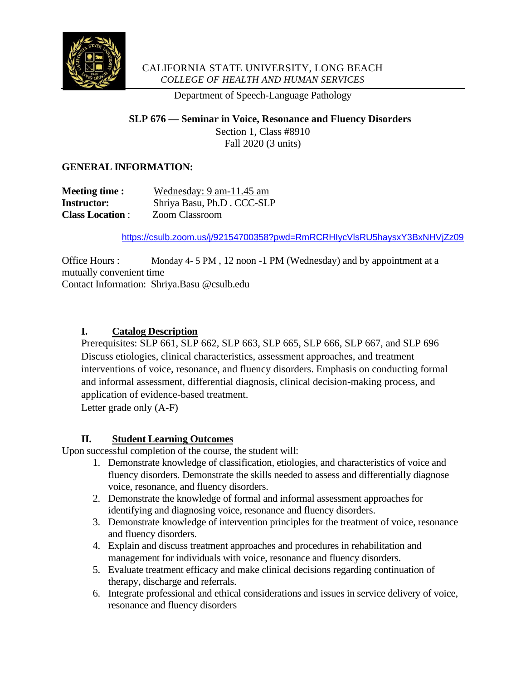

### CALIFORNIA STATE UNIVERSITY, LONG BEACH *COLLEGE OF HEALTH AND HUMAN SERVICES*

Department of Speech-Language Pathology

### **SLP 676 — Seminar in Voice, Resonance and Fluency Disorders** Section 1, Class #8910 Fall 2020 (3 units)

# **GENERAL INFORMATION:**

| <b>Meeting time :</b>  | Wednesday: 9 am-11.45 am   |
|------------------------|----------------------------|
| <b>Instructor:</b>     | Shriya Basu, Ph.D. CCC-SLP |
| <b>Class Location:</b> | <b>Zoom Classroom</b>      |

<https://csulb.zoom.us/j/92154700358?pwd=RmRCRHIycVlsRU5haysxY3BxNHVjZz09>

Office Hours : Monday 4-5 PM, 12 noon -1 PM (Wednesday) and by appointment at a mutually convenient time Contact Information: Shriya.Basu @csulb.edu

# **I. Catalog Description**

Prerequisites: SLP 661, SLP 662, SLP 663, SLP 665, SLP 666, SLP 667, and SLP 696 Discuss etiologies, clinical characteristics, assessment approaches, and treatment interventions of voice, resonance, and fluency disorders. Emphasis on conducting formal and informal assessment, differential diagnosis, clinical decision-making process, and application of evidence-based treatment.

Letter grade only (A-F)

# **II. Student Learning Outcomes**

Upon successful completion of the course, the student will:

- 1. Demonstrate knowledge of classification, etiologies, and characteristics of voice and fluency disorders. Demonstrate the skills needed to assess and differentially diagnose voice, resonance, and fluency disorders.
- 2. Demonstrate the knowledge of formal and informal assessment approaches for identifying and diagnosing voice, resonance and fluency disorders.
- 3. Demonstrate knowledge of intervention principles for the treatment of voice, resonance and fluency disorders.
- 4. Explain and discuss treatment approaches and procedures in rehabilitation and management for individuals with voice, resonance and fluency disorders.
- 5. Evaluate treatment efficacy and make clinical decisions regarding continuation of therapy, discharge and referrals.
- 6. Integrate professional and ethical considerations and issues in service delivery of voice, resonance and fluency disorders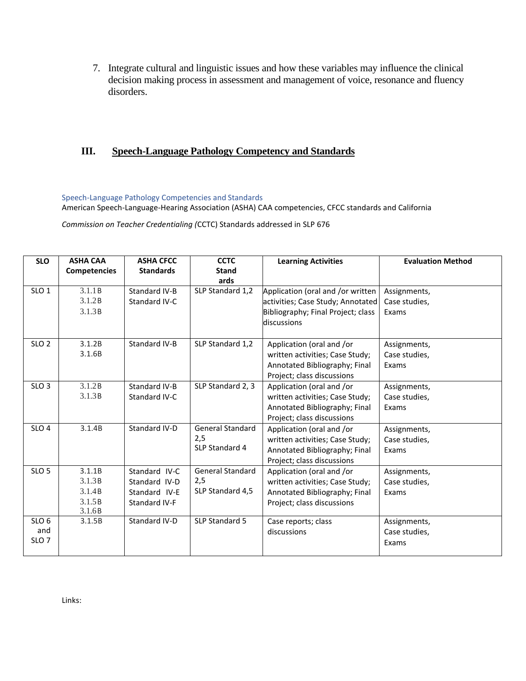7. Integrate cultural and linguistic issues and how these variables may influence the clinical decision making process in assessment and management of voice, resonance and fluency disorders.

#### **III. Speech-Language Pathology Competency and Standards**

Speech-Language Pathology Competencies and Standards

American Speech-Language-Hearing Association (ASHA) CAA competencies, CFCC standards and California

*Commission on Teacher Credentialing (*CCTC) Standards addressed in SLP 676

| <b>SLO</b>       | <b>ASHA CAA</b>     | <b>ASHA CFCC</b> | <b>CCTC</b>             | <b>Learning Activities</b>         | <b>Evaluation Method</b> |
|------------------|---------------------|------------------|-------------------------|------------------------------------|--------------------------|
|                  | <b>Competencies</b> | <b>Standards</b> | <b>Stand</b>            |                                    |                          |
|                  | 3.1.1B              |                  | ards                    |                                    |                          |
| SLO <sub>1</sub> |                     | Standard IV-B    | SLP Standard 1,2        | Application (oral and /or written  | Assignments,             |
|                  | 3.1.2B              | Standard IV-C    |                         | activities; Case Study; Annotated  | Case studies,            |
|                  | 3.1.3B              |                  |                         | Bibliography; Final Project; class | Exams                    |
|                  |                     |                  |                         | discussions                        |                          |
|                  |                     |                  |                         |                                    |                          |
| SLO <sub>2</sub> | 3.1.2B              | Standard IV-B    | SLP Standard 1,2        | Application (oral and /or          | Assignments,             |
|                  | 3.1.6B              |                  |                         | written activities; Case Study;    | Case studies,            |
|                  |                     |                  |                         | Annotated Bibliography; Final      | Exams                    |
|                  |                     |                  |                         | Project; class discussions         |                          |
| SLO <sub>3</sub> | 3.1.2B              | Standard IV-B    | SLP Standard 2, 3       | Application (oral and /or          | Assignments,             |
|                  | 3.1.3B              | Standard IV-C    |                         | written activities; Case Study;    | Case studies,            |
|                  |                     |                  |                         | Annotated Bibliography; Final      | Exams                    |
|                  |                     |                  |                         | Project; class discussions         |                          |
| SLO <sub>4</sub> | 3.1.4B              | Standard IV-D    | <b>General Standard</b> | Application (oral and /or          | Assignments,             |
|                  |                     |                  | 2,5                     | written activities; Case Study;    | Case studies,            |
|                  |                     |                  | SLP Standard 4          | Annotated Bibliography; Final      | Exams                    |
|                  |                     |                  |                         | Project; class discussions         |                          |
| SLO <sub>5</sub> | 3.1.1B              | Standard IV-C    | <b>General Standard</b> | Application (oral and /or          | Assignments,             |
|                  | 3.1.3B              | Standard IV-D    | 2,5                     | written activities; Case Study;    | Case studies,            |
|                  | 3.1.4B              | Standard IV-E    | SLP Standard 4,5        | Annotated Bibliography; Final      | Exams                    |
|                  | 3.1.5B              | Standard IV-F    |                         | Project; class discussions         |                          |
|                  | 3.1.6B              |                  |                         |                                    |                          |
| SLO <sub>6</sub> | 3.1.5B              | Standard IV-D    | SLP Standard 5          | Case reports; class                | Assignments,             |
| and              |                     |                  |                         | discussions                        | Case studies,            |
| SLO <sub>7</sub> |                     |                  |                         |                                    | Exams                    |
|                  |                     |                  |                         |                                    |                          |

Links: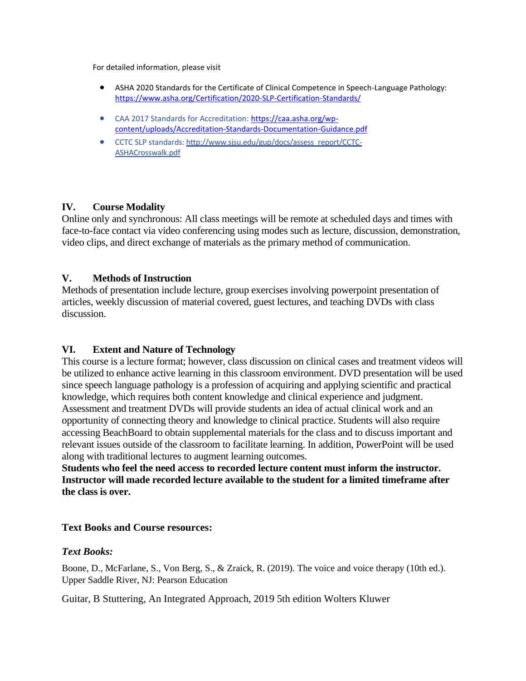For detailed information, please visit

- ASHA 2020 Standards for the Certificate of Clinical Competence in Speech-Language Pathology: <https://www.asha.org/Certification/2020-SLP-Certification-Standards/>
- CAA 2017 Standards for Accreditation: [https://caa.asha.org/wp](https://caa.asha.org/wp-content/uploads/Accreditation-Standards-Documentation-Guidance.pdf)[content/uploads/Accreditation-Standards-Documentation-Guidance.pdf](https://caa.asha.org/wp-content/uploads/Accreditation-Standards-Documentation-Guidance.pdf)
- CCTC SLP standards[: http://www.sjsu.edu/gup/docs/assess\\_report/CCTC-](http://www.sjsu.edu/gup/docs/assess_report/CCTC-ASHACrosswalk.pdf)[ASHACrosswalk.pdf](http://www.sjsu.edu/gup/docs/assess_report/CCTC-ASHACrosswalk.pdf)

### **IV. Course Modality**

Online only and synchronous: All class meetings will be remote at scheduled days and times with face-to-face contact via video conferencing using modes such as lecture, discussion, demonstration, video clips, and direct exchange of materials as the primary method of communication.

### **V. Methods of Instruction**

Methods of presentation include lecture, group exercises involving powerpoint presentation of articles, weekly discussion of material covered, guest lectures, and teaching DVDs with class discussion.

### **VI. Extent and Nature of Technology**

This course is a lecture format; however, class discussion on clinical cases and treatment videos will be utilized to enhance active learning in this classroom environment. DVD presentation will be used since speech language pathology is a profession of acquiring and applying scientific and practical knowledge, which requires both content knowledge and clinical experience and judgment. Assessment and treatment DVDs will provide students an idea of actual clinical work and an opportunity of connecting theory and knowledge to clinical practice. Students will also require accessing BeachBoard to obtain supplemental materials for the class and to discuss important and relevant issues outside of the classroom to facilitate learning. In addition, PowerPoint will be used along with traditional lectures to augment learning outcomes.

**Students who feel the need access to recorded lecture content must inform the instructor. Instructor will made recorded lecture available to the student for a limited timeframe after the class is over.** 

#### **Text Books and Course resources:**

#### *Text Books:*

Boone, D., McFarlane, S., Von Berg, S., & Zraick, R. (2019). The voice and voice therapy (10th ed.). Upper Saddle River, NJ: Pearson Education

Guitar, B Stuttering, An Integrated Approach, 2019 5th edition Wolters Kluwer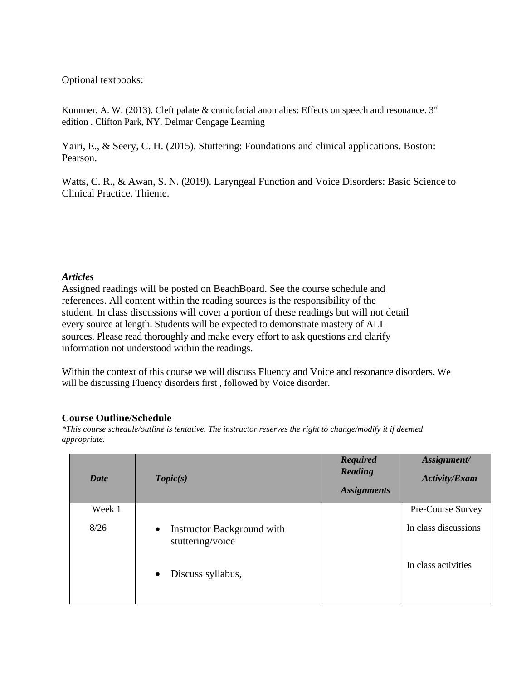Optional textbooks:

Kummer, A. W. (2013). Cleft palate & craniofacial anomalies: Effects on speech and resonance.  $3<sup>rd</sup>$ edition . Clifton Park, NY. Delmar Cengage Learning

Yairi, E., & Seery, C. H. (2015). Stuttering: Foundations and clinical applications. Boston: Pearson.

Watts, C. R., & Awan, S. N. (2019). Laryngeal Function and Voice Disorders: Basic Science to Clinical Practice. Thieme.

### *Articles*

Assigned readings will be posted on BeachBoard. See the course schedule and references. All content within the reading sources is the responsibility of the student. In class discussions will cover a portion of these readings but will not detail every source at length. Students will be expected to demonstrate mastery of ALL sources. Please read thoroughly and make every effort to ask questions and clarify information not understood within the readings.

Within the context of this course we will discuss Fluency and Voice and resonance disorders. We will be discussing Fluency disorders first , followed by Voice disorder.

### **Course Outline/Schedule**

*\*This course schedule/outline is tentative. The instructor reserves the right to change/modify it if deemed appropriate.*

| Date   | Topic(s)                                                    | <b>Required</b><br>Reading<br><b>Assignments</b> | Assignment/<br><b>Activity/Exam</b> |
|--------|-------------------------------------------------------------|--------------------------------------------------|-------------------------------------|
| Week 1 |                                                             |                                                  | Pre-Course Survey                   |
| 8/26   | Instructor Background with<br>$\bullet$<br>stuttering/voice |                                                  | In class discussions                |
|        | Discuss syllabus,<br>$\bullet$                              |                                                  | In class activities                 |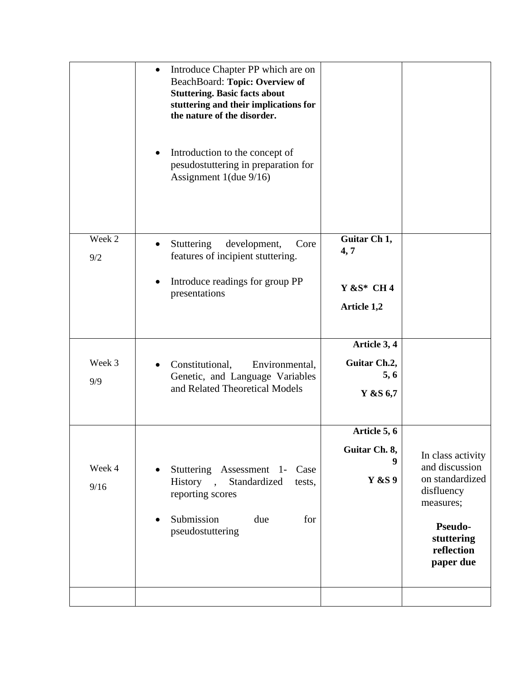|                | Introduce Chapter PP which are on<br>BeachBoard: Topic: Overview of<br><b>Stuttering. Basic facts about</b><br>stuttering and their implications for<br>the nature of the disorder.<br>Introduction to the concept of<br>pesudostuttering in preparation for<br>Assignment $1$ (due $9/16$ ) |                                                             |                                                                                                                                              |
|----------------|----------------------------------------------------------------------------------------------------------------------------------------------------------------------------------------------------------------------------------------------------------------------------------------------|-------------------------------------------------------------|----------------------------------------------------------------------------------------------------------------------------------------------|
| Week 2<br>9/2  | Stuttering<br>development,<br>Core<br>features of incipient stuttering.<br>Introduce readings for group PP<br>presentations                                                                                                                                                                  | Guitar Ch 1,<br>4,7<br>$Y & S^*$ CH 4<br><b>Article 1,2</b> |                                                                                                                                              |
| Week 3<br>9/9  | Constitutional,<br>Environmental,<br>Genetic, and Language Variables<br>and Related Theoretical Models                                                                                                                                                                                       | Article 3, 4<br>Guitar Ch.2,<br>5, 6<br>Y &S 6,7            |                                                                                                                                              |
| Week 4<br>9/16 | Stuttering Assessment 1-<br>Case<br>History, Standardized<br>tests,<br>reporting scores<br>Submission<br>due<br>for<br>pseudostuttering                                                                                                                                                      | Article 5, 6<br>Guitar Ch. 8,<br>Y &S 9                     | In class activity<br>and discussion<br>on standardized<br>disfluency<br>measures;<br><b>Pseudo-</b><br>stuttering<br>reflection<br>paper due |
|                |                                                                                                                                                                                                                                                                                              |                                                             |                                                                                                                                              |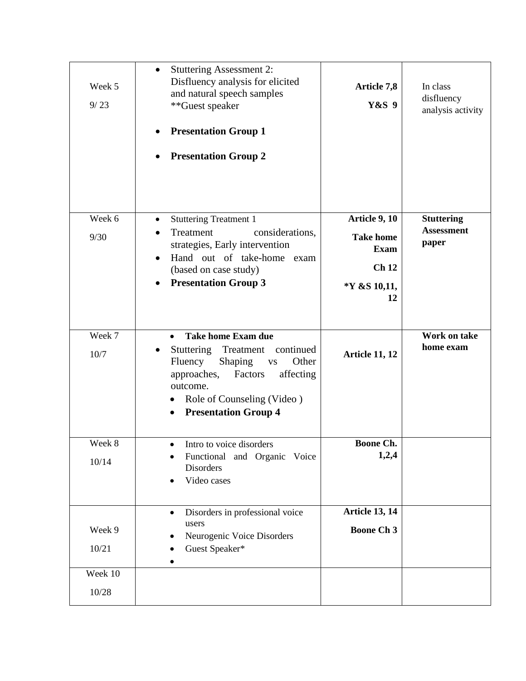| Week 5<br>9/23   | <b>Stuttering Assessment 2:</b><br>$\bullet$<br>Disfluency analysis for elicited<br>and natural speech samples<br>**Guest speaker<br><b>Presentation Group 1</b><br><b>Presentation Group 2</b>                                                                          | <b>Article 7,8</b><br>Y&S 9                                                    | In class<br>disfluency<br>analysis activity     |
|------------------|--------------------------------------------------------------------------------------------------------------------------------------------------------------------------------------------------------------------------------------------------------------------------|--------------------------------------------------------------------------------|-------------------------------------------------|
| Week 6<br>9/30   | <b>Stuttering Treatment 1</b><br>$\bullet$<br>Treatment<br>considerations,<br>strategies, Early intervention<br>Hand out of take-home exam<br>(based on case study)<br><b>Presentation Group 3</b>                                                                       | Article 9, 10<br><b>Take home</b><br><b>Exam</b><br>Ch12<br>*Y &S 10,11,<br>12 | <b>Stuttering</b><br><b>Assessment</b><br>paper |
| Week 7<br>10/7   | <b>Take home Exam due</b><br>$\bullet$<br>Stuttering Treatment<br>continued<br>Fluency<br>Other<br><b>Shaping</b><br>$\mathbf{V}\mathbf{S}$<br>approaches,<br>Factors<br>affecting<br>outcome.<br>Role of Counseling (Video)<br>$\bullet$<br><b>Presentation Group 4</b> | <b>Article 11, 12</b>                                                          | Work on take<br>home exam                       |
| Week 8<br>10/14  | Intro to voice disorders<br>Functional and Organic Voice<br>Disorders<br>Video cases                                                                                                                                                                                     | Boone Ch.<br>1,2,4                                                             |                                                 |
| Week 9<br>10/21  | Disorders in professional voice<br>$\bullet$<br>users<br>Neurogenic Voice Disorders<br>Guest Speaker*                                                                                                                                                                    | <b>Article 13, 14</b><br><b>Boone Ch 3</b>                                     |                                                 |
| Week 10<br>10/28 |                                                                                                                                                                                                                                                                          |                                                                                |                                                 |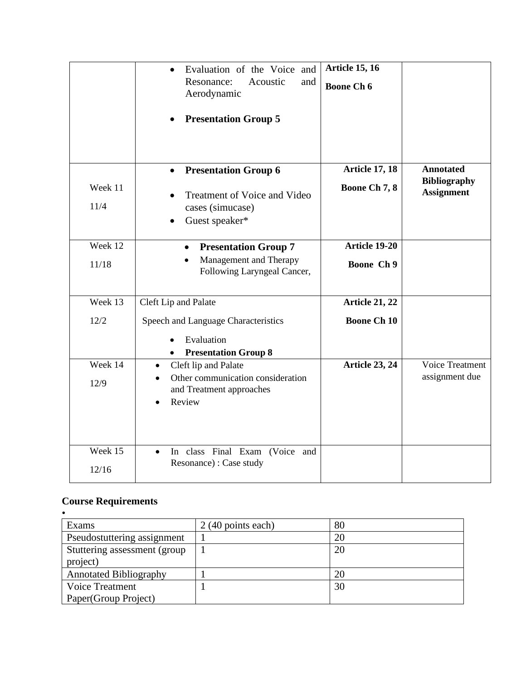|                  | Evaluation of the Voice and<br>$\bullet$<br>Resonance:<br>Acoustic<br>and<br>Aerodynamic<br><b>Presentation Group 5</b> | <b>Article 15, 16</b><br><b>Boone Ch 6</b>  |                                                              |
|------------------|-------------------------------------------------------------------------------------------------------------------------|---------------------------------------------|--------------------------------------------------------------|
| Week 11<br>11/4  | <b>Presentation Group 6</b><br>$\bullet$<br>Treatment of Voice and Video<br>cases (simucase)<br>Guest speaker*          | <b>Article 17, 18</b><br>Boone Ch 7, 8      | <b>Annotated</b><br><b>Bibliography</b><br><b>Assignment</b> |
| Week 12<br>11/18 | <b>Presentation Group 7</b><br>Management and Therapy<br>Following Laryngeal Cancer,                                    | Article 19-20<br>Boone Ch 9                 |                                                              |
| Week 13<br>12/2  | Cleft Lip and Palate<br>Speech and Language Characteristics<br>Evaluation<br><b>Presentation Group 8</b>                | <b>Article 21, 22</b><br><b>Boone Ch 10</b> |                                                              |
| Week 14<br>12/9  | Cleft lip and Palate<br>$\bullet$<br>Other communication consideration<br>and Treatment approaches<br>Review            | <b>Article 23, 24</b>                       | Voice Treatment<br>assignment due                            |
| Week 15<br>12/16 | In class Final Exam (Voice and<br>$\bullet$<br>Resonance) : Case study                                                  |                                             |                                                              |

# **Course Requirements**

•

| Exams                         | $2(40$ points each) | 80 |
|-------------------------------|---------------------|----|
| Pseudostuttering assignment   |                     | 20 |
| Stuttering assessment (group) |                     | 20 |
| project)                      |                     |    |
| <b>Annotated Bibliography</b> |                     | 20 |
| <b>Voice Treatment</b>        |                     | 30 |
| Paper(Group Project)          |                     |    |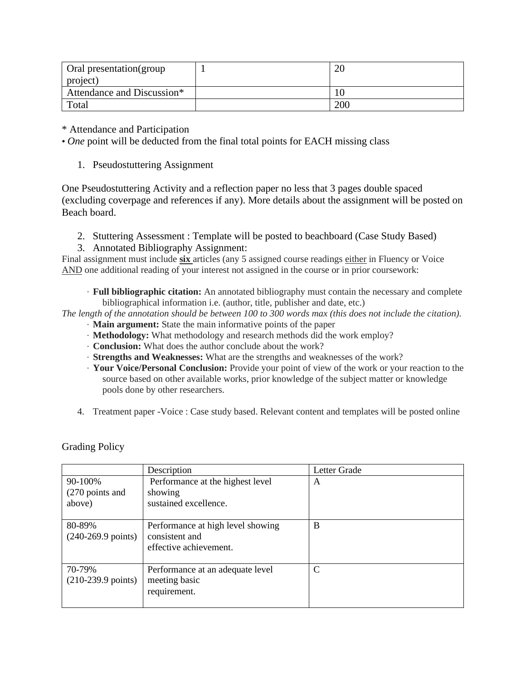| Oral presentation (group   | or  |
|----------------------------|-----|
| project)                   |     |
| Attendance and Discussion* |     |
| Total                      | 200 |

\* Attendance and Participation

• *One* point will be deducted from the final total points for EACH missing class

1. Pseudostuttering Assignment

One Pseudostuttering Activity and a reflection paper no less that 3 pages double spaced (excluding coverpage and references if any). More details about the assignment will be posted on Beach board.

2. Stuttering Assessment : Template will be posted to beachboard (Case Study Based)

3. Annotated Bibliography Assignment:

Final assignment must include **six** articles (any 5 assigned course readings either in Fluency or Voice AND one additional reading of your interest not assigned in the course or in prior coursework:

· **Full bibliographic citation:** An annotated bibliography must contain the necessary and complete bibliographical information i.e. (author, title, publisher and date, etc.)

The length of the annotation should be between 100 to 300 words max (this does not include the citation).

- · **Main argument:** State the main informative points of the paper
- · **Methodology:** What methodology and research methods did the work employ?
- · **Conclusion:** What does the author conclude about the work?
- · **Strengths and Weaknesses:** What are the strengths and weaknesses of the work?
- · **Your Voice/Personal Conclusion:** Provide your point of view of the work or your reaction to the source based on other available works, prior knowledge of the subject matter or knowledge pools done by other researchers.
- 4. Treatment paper -Voice : Case study based. Relevant content and templates will be posted online

|                                        | Description                                                                   | Letter Grade |
|----------------------------------------|-------------------------------------------------------------------------------|--------------|
| 90-100%<br>(270 points and<br>above)   | Performance at the highest level<br>showing<br>sustained excellence.          | A            |
| 80-89%<br>$(240-269.9 \text{ points})$ | Performance at high level showing<br>consistent and<br>effective achievement. | B            |
| 70-79%<br>$(210-239.9 \text{ points})$ | Performance at an adequate level<br>meeting basic<br>requirement.             | C            |

Grading Policy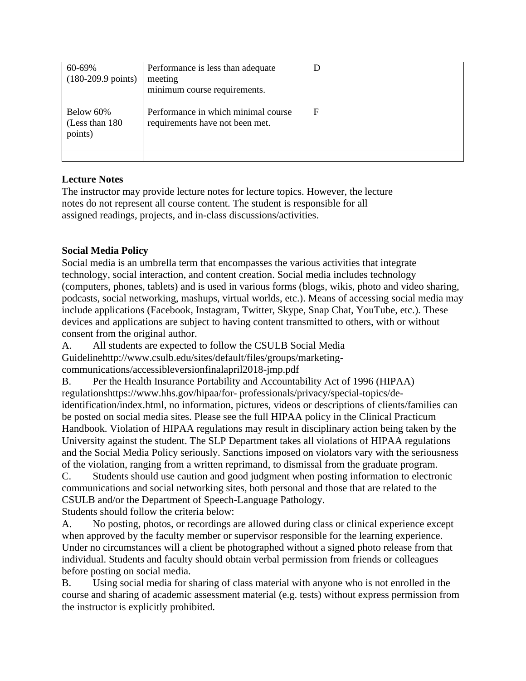| 60-69%<br>$(180-209.9 \text{ points})$  | Performance is less than adequate<br>meeting<br>minimum course requirements. | D |
|-----------------------------------------|------------------------------------------------------------------------------|---|
| Below 60%<br>(Less than 180)<br>points) | Performance in which minimal course<br>requirements have not been met.       | F |

# **Lecture Notes**

The instructor may provide lecture notes for lecture topics. However, the lecture notes do not represent all course content. The student is responsible for all assigned readings, projects, and in-class discussions/activities.

# **Social Media Policy**

Social media is an umbrella term that encompasses the various activities that integrate technology, social interaction, and content creation. Social media includes technology (computers, phones, tablets) and is used in various forms (blogs, wikis, photo and video sharing, podcasts, social networking, mashups, virtual worlds, etc.). Means of accessing social media may include applications (Facebook, Instagram, Twitter, Skype, Snap Chat, YouTube, etc.). These devices and applications are subject to having content transmitted to others, with or without consent from the original author.

A. All students are expected to follow the CSULB Social Media Guidelinehttp://www.csulb.edu/sites/default/files/groups/marketingcommunications/accessibleversionfinalapril2018-jmp.pdf

B. Per the Health Insurance Portability and Accountability Act of 1996 (HIPAA) regulationshttps://www.hhs.gov/hipaa/for- professionals/privacy/special-topics/deidentification/index.html, no information, pictures, videos or descriptions of clients/families can be posted on social media sites. Please see the full HIPAA policy in the Clinical Practicum Handbook. Violation of HIPAA regulations may result in disciplinary action being taken by the University against the student. The SLP Department takes all violations of HIPAA regulations and the Social Media Policy seriously. Sanctions imposed on violators vary with the seriousness of the violation, ranging from a written reprimand, to dismissal from the graduate program.

C. Students should use caution and good judgment when posting information to electronic communications and social networking sites, both personal and those that are related to the CSULB and/or the Department of Speech-Language Pathology. Students should follow the criteria below:

A. No posting, photos, or recordings are allowed during class or clinical experience except when approved by the faculty member or supervisor responsible for the learning experience.

Under no circumstances will a client be photographed without a signed photo release from that individual. Students and faculty should obtain verbal permission from friends or colleagues before posting on social media.

B. Using social media for sharing of class material with anyone who is not enrolled in the course and sharing of academic assessment material (e.g. tests) without express permission from the instructor is explicitly prohibited.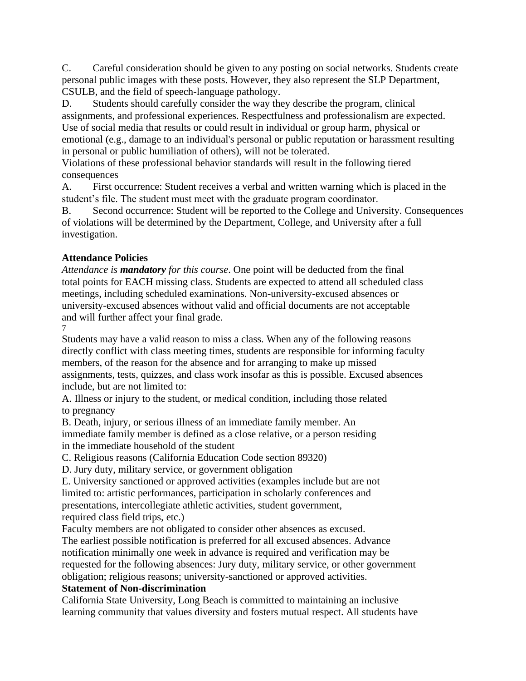C. Careful consideration should be given to any posting on social networks. Students create personal public images with these posts. However, they also represent the SLP Department, CSULB, and the field of speech-language pathology.

D. Students should carefully consider the way they describe the program, clinical assignments, and professional experiences. Respectfulness and professionalism are expected. Use of social media that results or could result in individual or group harm, physical or emotional (e.g., damage to an individual's personal or public reputation or harassment resulting in personal or public humiliation of others), will not be tolerated.

Violations of these professional behavior standards will result in the following tiered consequences

A. First occurrence: Student receives a verbal and written warning which is placed in the student's file. The student must meet with the graduate program coordinator.

B. Second occurrence: Student will be reported to the College and University. Consequences of violations will be determined by the Department, College, and University after a full investigation.

# **Attendance Policies**

*Attendance is mandatory for this course*. One point will be deducted from the final total points for EACH missing class. Students are expected to attend all scheduled class meetings, including scheduled examinations. Non-university-excused absences or university-excused absences without valid and official documents are not acceptable and will further affect your final grade.

7

Students may have a valid reason to miss a class. When any of the following reasons directly conflict with class meeting times, students are responsible for informing faculty members, of the reason for the absence and for arranging to make up missed assignments, tests, quizzes, and class work insofar as this is possible. Excused absences include, but are not limited to:

A. Illness or injury to the student, or medical condition, including those related to pregnancy

B. Death, injury, or serious illness of an immediate family member. An immediate family member is defined as a close relative, or a person residing in the immediate household of the student

C. Religious reasons (California Education Code section 89320)

D. Jury duty, military service, or government obligation

E. University sanctioned or approved activities (examples include but are not limited to: artistic performances, participation in scholarly conferences and presentations, intercollegiate athletic activities, student government, required class field trips, etc.)

Faculty members are not obligated to consider other absences as excused.

The earliest possible notification is preferred for all excused absences. Advance notification minimally one week in advance is required and verification may be requested for the following absences: Jury duty, military service, or other government obligation; religious reasons; university-sanctioned or approved activities.

# **Statement of Non-discrimination**

California State University, Long Beach is committed to maintaining an inclusive learning community that values diversity and fosters mutual respect. All students have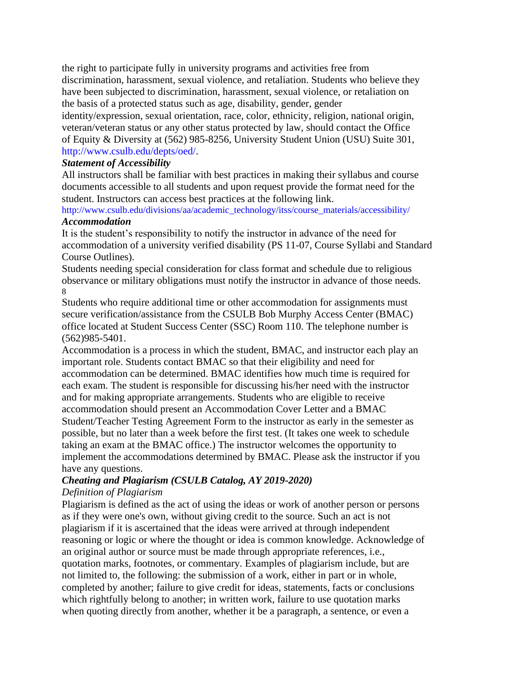the right to participate fully in university programs and activities free from discrimination, harassment, sexual violence, and retaliation. Students who believe they have been subjected to discrimination, harassment, sexual violence, or retaliation on the basis of a protected status such as age, disability, gender, gender identity/expression, sexual orientation, race, color, ethnicity, religion, national origin,

veteran/veteran status or any other status protected by law, should contact the Office of Equity & Diversity at (562) 985-8256, University Student Union (USU) Suite 301, http://www.csulb.edu/depts/oed/.

### *Statement of Accessibility*

All instructors shall be familiar with best practices in making their syllabus and course documents accessible to all students and upon request provide the format need for the student. Instructors can access best practices at the following link.

http://www.csulb.edu/divisions/aa/academic\_technology/itss/course\_materials/accessibility/ *Accommodation*

It is the student's responsibility to notify the instructor in advance of the need for accommodation of a university verified disability (PS 11-07, Course Syllabi and Standard Course Outlines).

Students needing special consideration for class format and schedule due to religious observance or military obligations must notify the instructor in advance of those needs. 8

Students who require additional time or other accommodation for assignments must secure verification/assistance from the CSULB Bob Murphy Access Center (BMAC) office located at Student Success Center (SSC) Room 110. The telephone number is (562)985-5401.

Accommodation is a process in which the student, BMAC, and instructor each play an important role. Students contact BMAC so that their eligibility and need for accommodation can be determined. BMAC identifies how much time is required for each exam. The student is responsible for discussing his/her need with the instructor and for making appropriate arrangements. Students who are eligible to receive accommodation should present an Accommodation Cover Letter and a BMAC Student/Teacher Testing Agreement Form to the instructor as early in the semester as possible, but no later than a week before the first test. (It takes one week to schedule taking an exam at the BMAC office.) The instructor welcomes the opportunity to implement the accommodations determined by BMAC. Please ask the instructor if you have any questions.

# *Cheating and Plagiarism (CSULB Catalog, AY 2019-2020)*

### *Definition of Plagiarism*

Plagiarism is defined as the act of using the ideas or work of another person or persons as if they were one's own, without giving credit to the source. Such an act is not plagiarism if it is ascertained that the ideas were arrived at through independent reasoning or logic or where the thought or idea is common knowledge. Acknowledge of an original author or source must be made through appropriate references, i.e., quotation marks, footnotes, or commentary. Examples of plagiarism include, but are not limited to, the following: the submission of a work, either in part or in whole, completed by another; failure to give credit for ideas, statements, facts or conclusions which rightfully belong to another; in written work, failure to use quotation marks when quoting directly from another, whether it be a paragraph, a sentence, or even a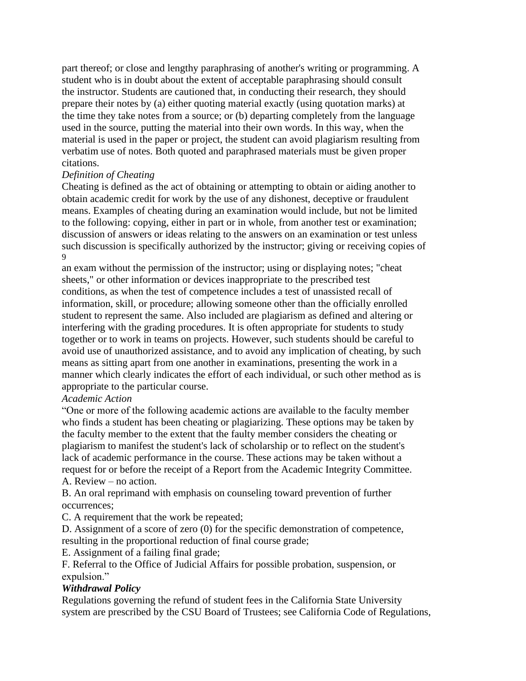part thereof; or close and lengthy paraphrasing of another's writing or programming. A student who is in doubt about the extent of acceptable paraphrasing should consult the instructor. Students are cautioned that, in conducting their research, they should prepare their notes by (a) either quoting material exactly (using quotation marks) at the time they take notes from a source; or (b) departing completely from the language used in the source, putting the material into their own words. In this way, when the material is used in the paper or project, the student can avoid plagiarism resulting from verbatim use of notes. Both quoted and paraphrased materials must be given proper citations.

### *Definition of Cheating*

Cheating is defined as the act of obtaining or attempting to obtain or aiding another to obtain academic credit for work by the use of any dishonest, deceptive or fraudulent means. Examples of cheating during an examination would include, but not be limited to the following: copying, either in part or in whole, from another test or examination; discussion of answers or ideas relating to the answers on an examination or test unless such discussion is specifically authorized by the instructor; giving or receiving copies of 9

an exam without the permission of the instructor; using or displaying notes; "cheat sheets," or other information or devices inappropriate to the prescribed test conditions, as when the test of competence includes a test of unassisted recall of information, skill, or procedure; allowing someone other than the officially enrolled student to represent the same. Also included are plagiarism as defined and altering or interfering with the grading procedures. It is often appropriate for students to study together or to work in teams on projects. However, such students should be careful to avoid use of unauthorized assistance, and to avoid any implication of cheating, by such means as sitting apart from one another in examinations, presenting the work in a manner which clearly indicates the effort of each individual, or such other method as is appropriate to the particular course.

### *Academic Action*

"One or more of the following academic actions are available to the faculty member who finds a student has been cheating or plagiarizing. These options may be taken by the faculty member to the extent that the faulty member considers the cheating or plagiarism to manifest the student's lack of scholarship or to reflect on the student's lack of academic performance in the course. These actions may be taken without a request for or before the receipt of a Report from the Academic Integrity Committee. A. Review – no action.

B. An oral reprimand with emphasis on counseling toward prevention of further occurrences;

C. A requirement that the work be repeated;

D. Assignment of a score of zero (0) for the specific demonstration of competence, resulting in the proportional reduction of final course grade;

E. Assignment of a failing final grade;

F. Referral to the Office of Judicial Affairs for possible probation, suspension, or expulsion."

### *Withdrawal Policy*

Regulations governing the refund of student fees in the California State University system are prescribed by the CSU Board of Trustees; see California Code of Regulations,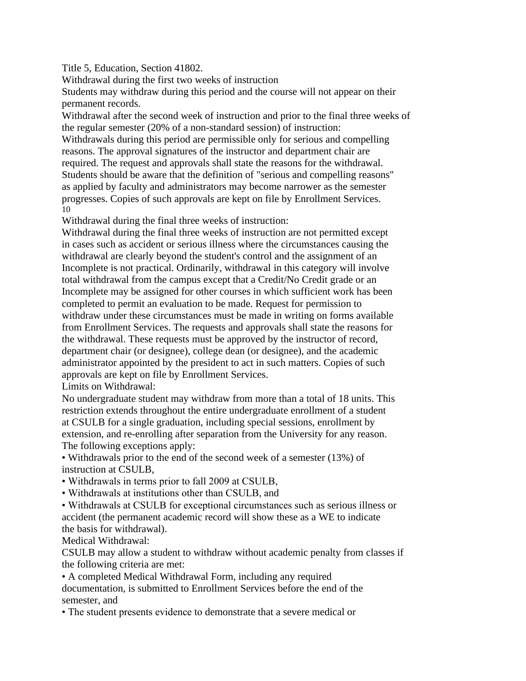Title 5, Education, Section 41802.

Withdrawal during the first two weeks of instruction

Students may withdraw during this period and the course will not appear on their permanent records.

Withdrawal after the second week of instruction and prior to the final three weeks of the regular semester (20% of a non-standard session) of instruction:

Withdrawals during this period are permissible only for serious and compelling reasons. The approval signatures of the instructor and department chair are required. The request and approvals shall state the reasons for the withdrawal. Students should be aware that the definition of "serious and compelling reasons" as applied by faculty and administrators may become narrower as the semester progresses. Copies of such approvals are kept on file by Enrollment Services. 10

Withdrawal during the final three weeks of instruction:

Withdrawal during the final three weeks of instruction are not permitted except in cases such as accident or serious illness where the circumstances causing the withdrawal are clearly beyond the student's control and the assignment of an Incomplete is not practical. Ordinarily, withdrawal in this category will involve total withdrawal from the campus except that a Credit/No Credit grade or an Incomplete may be assigned for other courses in which sufficient work has been completed to permit an evaluation to be made. Request for permission to withdraw under these circumstances must be made in writing on forms available from Enrollment Services. The requests and approvals shall state the reasons for the withdrawal. These requests must be approved by the instructor of record, department chair (or designee), college dean (or designee), and the academic administrator appointed by the president to act in such matters. Copies of such approvals are kept on file by Enrollment Services.

Limits on Withdrawal:

No undergraduate student may withdraw from more than a total of 18 units. This restriction extends throughout the entire undergraduate enrollment of a student at CSULB for a single graduation, including special sessions, enrollment by extension, and re-enrolling after separation from the University for any reason. The following exceptions apply:

• Withdrawals prior to the end of the second week of a semester (13%) of instruction at CSULB,

• Withdrawals in terms prior to fall 2009 at CSULB,

• Withdrawals at institutions other than CSULB, and

• Withdrawals at CSULB for exceptional circumstances such as serious illness or accident (the permanent academic record will show these as a WE to indicate the basis for withdrawal).

Medical Withdrawal:

CSULB may allow a student to withdraw without academic penalty from classes if the following criteria are met:

• A completed Medical Withdrawal Form, including any required documentation, is submitted to Enrollment Services before the end of the semester, and

• The student presents evidence to demonstrate that a severe medical or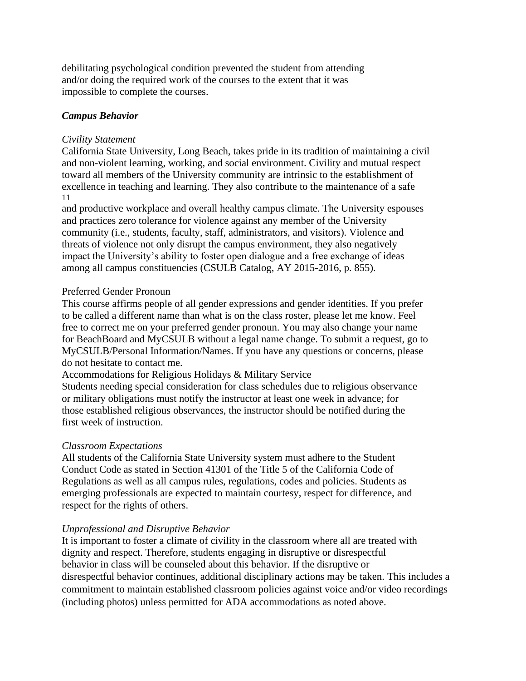debilitating psychological condition prevented the student from attending and/or doing the required work of the courses to the extent that it was impossible to complete the courses.

### *Campus Behavior*

#### *Civility Statement*

California State University, Long Beach, takes pride in its tradition of maintaining a civil and non-violent learning, working, and social environment. Civility and mutual respect toward all members of the University community are intrinsic to the establishment of excellence in teaching and learning. They also contribute to the maintenance of a safe 11

and productive workplace and overall healthy campus climate. The University espouses and practices zero tolerance for violence against any member of the University community (i.e., students, faculty, staff, administrators, and visitors). Violence and threats of violence not only disrupt the campus environment, they also negatively impact the University's ability to foster open dialogue and a free exchange of ideas among all campus constituencies (CSULB Catalog, AY 2015-2016, p. 855).

### Preferred Gender Pronoun

This course affirms people of all gender expressions and gender identities. If you prefer to be called a different name than what is on the class roster, please let me know. Feel free to correct me on your preferred gender pronoun. You may also change your name for BeachBoard and MyCSULB without a legal name change. To submit a request, go to MyCSULB/Personal Information/Names. If you have any questions or concerns, please do not hesitate to contact me.

Accommodations for Religious Holidays & Military Service

Students needing special consideration for class schedules due to religious observance or military obligations must notify the instructor at least one week in advance; for those established religious observances, the instructor should be notified during the first week of instruction.

#### *Classroom Expectations*

All students of the California State University system must adhere to the Student Conduct Code as stated in Section 41301 of the Title 5 of the California Code of Regulations as well as all campus rules, regulations, codes and policies. Students as emerging professionals are expected to maintain courtesy, respect for difference, and respect for the rights of others.

### *Unprofessional and Disruptive Behavior*

It is important to foster a climate of civility in the classroom where all are treated with dignity and respect. Therefore, students engaging in disruptive or disrespectful behavior in class will be counseled about this behavior. If the disruptive or disrespectful behavior continues, additional disciplinary actions may be taken. This includes a commitment to maintain established classroom policies against voice and/or video recordings (including photos) unless permitted for ADA accommodations as noted above.